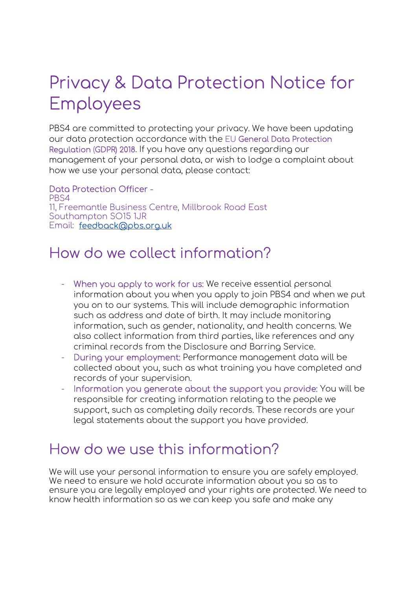# Privacy & Data Protection Notice for Employees

PBS4 are committed to protecting your privacy. We have been updating our data protection accordance with the EU General Data Protection Regulation (GDPR) 2018. If you have any questions regarding our management of your personal data, or wish to lodge a complaint about how we use your personal data, please contact:

Data Protection Officer - PBS4 11, Freemantle Business Centre, Millbrook Road East Southampton SO15 1JR Email: feedback@pbs.org.uk

## How do we collect information?

- When you apply to work for us: We receive essential personal information about you when you apply to join PBS4 and when we put you on to our systems. This will include demographic information such as address and date of birth. It may include monitoring information, such as gender, nationality, and health concerns. We also collect information from third parties, like references and any criminal records from the Disclosure and Barring Service.
- During your employment: Performance management data will be collected about you, such as what training you have completed and records of your supervision.
- Information you generate about the support you provide: You will be responsible for creating information relating to the people we support, such as completing daily records. These records are your legal statements about the support you have provided.

### How do we use this information?

We will use your personal information to ensure you are safely employed. We need to ensure we hold accurate information about you so as to ensure you are legally employed and your rights are protected. We need to know health information so as we can keep you safe and make any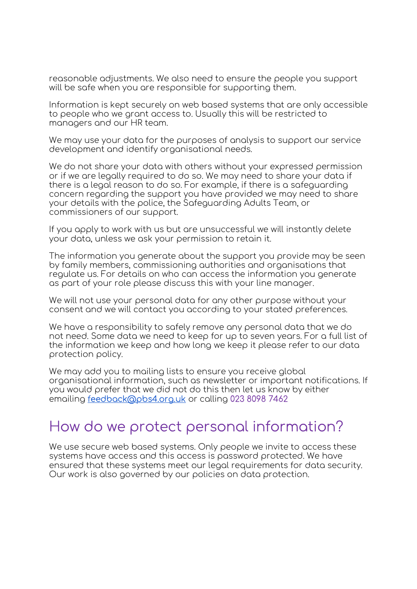reasonable adjustments. We also need to ensure the people you support will be safe when you are responsible for supporting them.

Information is kept securely on web based systems that are only accessible to people who we grant access to. Usually this will be restricted to managers and our HR team.

We may use your data for the purposes of analysis to support our service development and identify organisational needs.

We do not share your data with others without your expressed permission or if we are legally required to do so. We may need to share your data if there is a legal reason to do so. For example, if there is a safeguarding concern regarding the support you have provided we may need to share your details with the police, the Safeguarding Adults Team, or commissioners of our support.

If you apply to work with us but are unsuccessful we will instantly delete your data, unless we ask your permission to retain it.

The information you generate about the support you provide may be seen by family members, commissioning authorities and organisations that regulate us. For details on who can access the information you generate as part of your role please discuss this with your line manager.

We will not use your personal data for any other purpose without your consent and we will contact you according to your stated preferences.

We have a responsibility to safely remove any personal data that we do not need. Some data we need to keep for up to seven years. For a full list of the information we keep and how long we keep it please refer to our data protection policy.

We may add you to mailing lists to ensure you receive global organisational information, such as newsletter or important notifications. If you would prefer that we did not do this then let us know by either emailing feedback@pbs4.org.uk or calling 023 8098 7462

#### How do we protect personal information?

We use secure web based systems. Only people we invite to access these systems have access and this access is password protected. We have ensured that these systems meet our legal requirements for data security. Our work is also governed by our policies on data protection.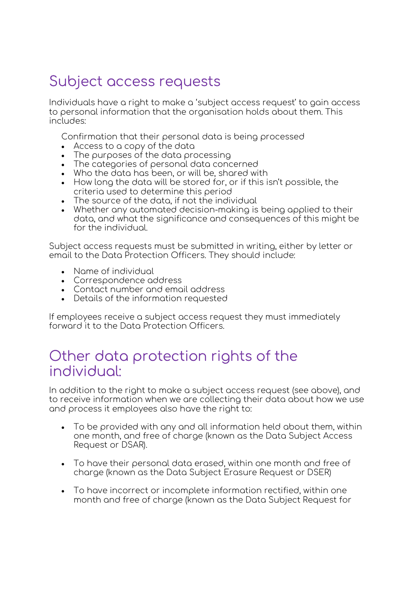# Subject access requests

Individuals have a right to make a 'subject access request' to gain access to personal information that the organisation holds about them. This includes:

Confirmation that their personal data is being processed

- Access to a copy of the data
- The purposes of the data processing
- The categories of personal data concerned
- Who the data has been, or will be, shared with
- How long the data will be stored for, or if this isn't possible, the criteria used to determine this period
- The source of the data, if not the individual
- Whether any automated decision-making is being applied to their data, and what the significance and consequences of this might be for the individual.

Subject access requests must be submitted in writing, either by letter or email to the Data Protection Officers. They should include:

- Name of individual
- Correspondence address
- Contact number and email address
- Details of the information requested

If employees receive a subject access request they must immediately forward it to the Data Protection Officers.

#### Other data protection rights of the individual:

In addition to the right to make a subject access request (see above), and to receive information when we are collecting their data about how we use and process it employees also have the right to:

- To be provided with any and all information held about them, within one month, and free of charge (known as the Data Subject Access Request or DSAR).
- To have their personal data erased, within one month and free of charge (known as the Data Subject Erasure Request or DSER)
- To have incorrect or incomplete information rectified, within one month and free of charge (known as the Data Subject Request for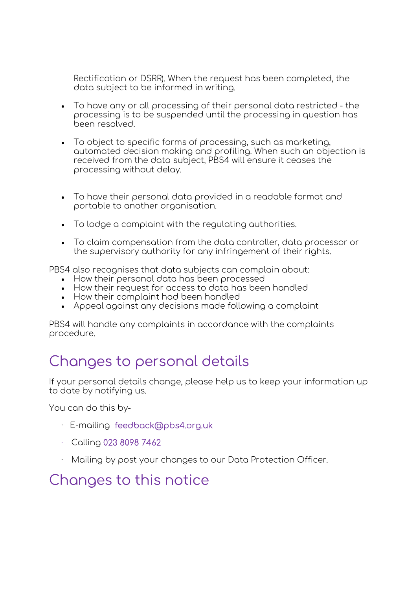Rectification or DSRR). When the request has been completed, the data subject to be informed in writing.

- To have any or all processing of their personal data restricted the processing is to be suspended until the processing in question has been resolved.
- To object to specific forms of processing, such as marketing, automated decision making and profiling. When such an objection is received from the data subject, PBS4 will ensure it ceases the processing without delay.
- To have their personal data provided in a readable format and portable to another organisation.
- To lodge a complaint with the regulating authorities.
- To claim compensation from the data controller, data processor or the supervisory authority for any infringement of their rights.

PBS4 also recognises that data subjects can complain about:

- How their personal data has been processed
- How their request for access to data has been handled
- How their complaint had been handled
- Appeal against any decisions made following a complaint

PBS4 will handle any complaints in accordance with the complaints procedure.

### Changes to personal details

If your personal details change, please help us to keep your information up to date by notifying us.

You can do this by-

- · E-mailing feedback@pbs4.org.uk
- · Calling 023 8098 7462
- Mailing by post your changes to our Data Protection Officer.

## Changes to this notice